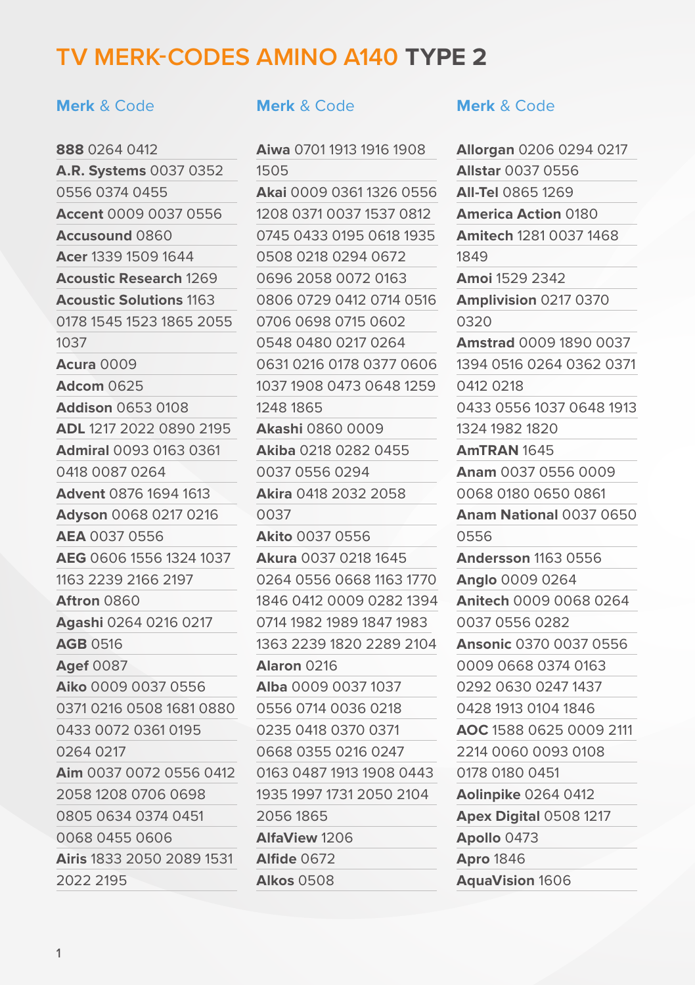# **TV MERK-CODES AMINO A140 TYPE 2**

## **Merk** & Code **Merk** & Code **Merk** & Code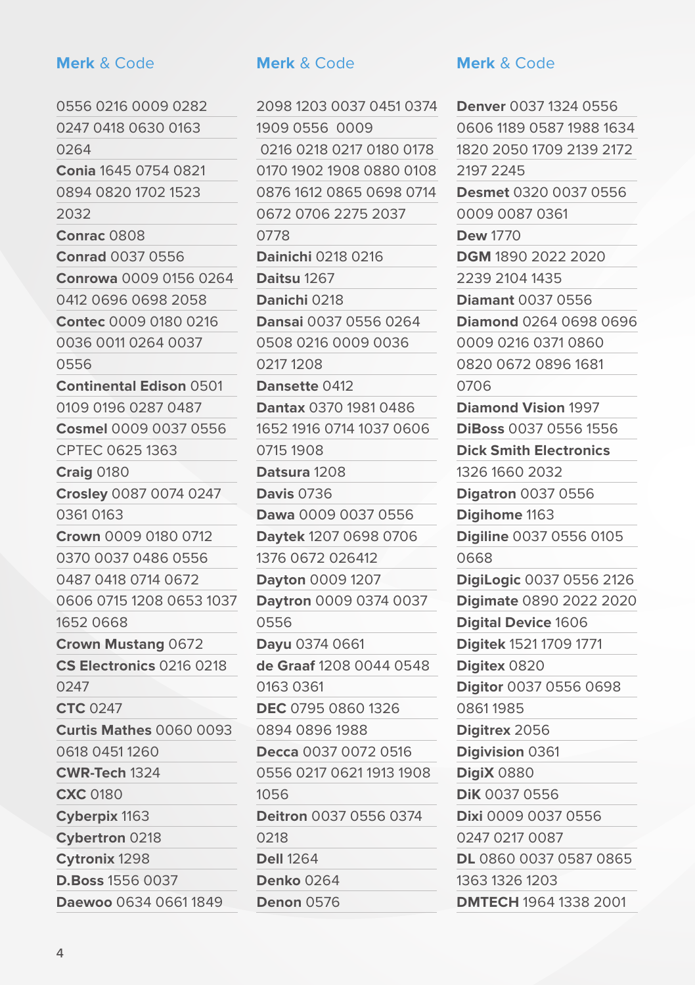**Daewoo** 0634 0661 1849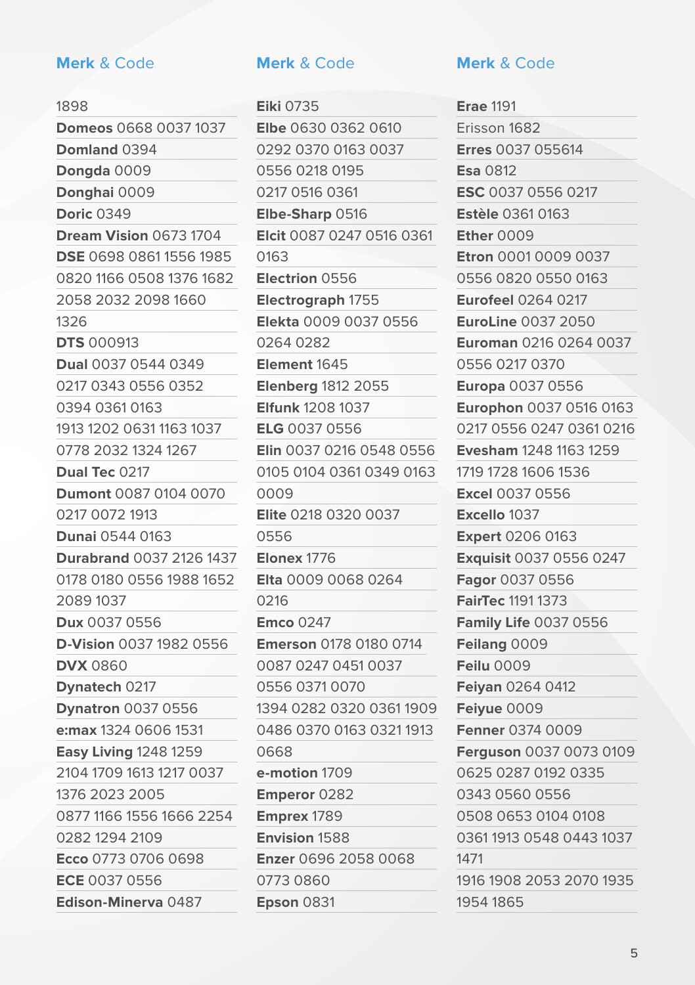## **Merk** & Code **Merk** & Code **Merk** & Code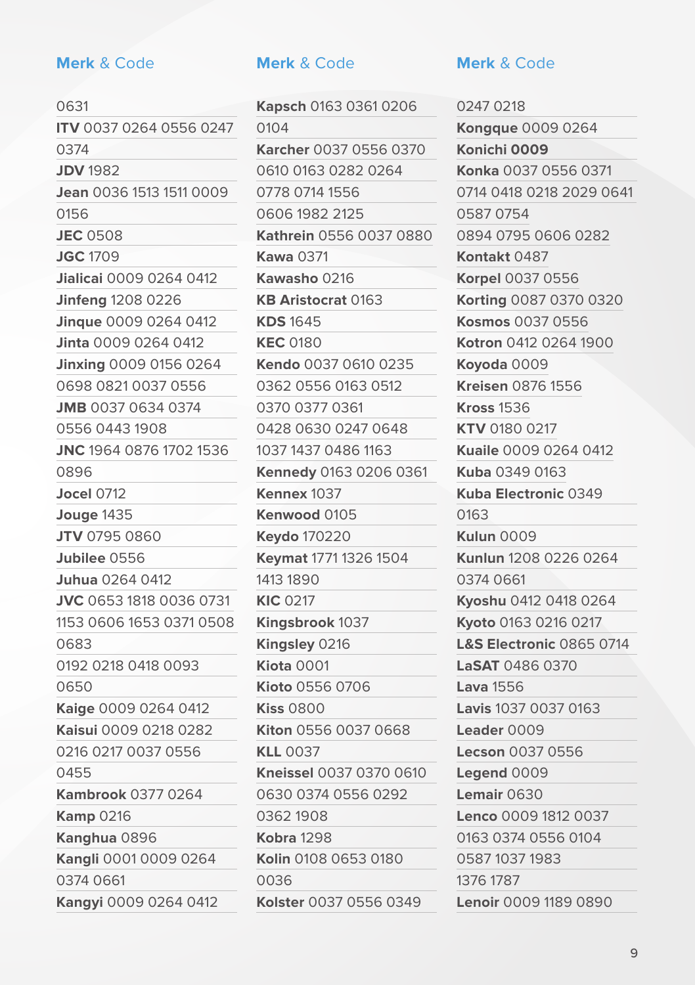**Kaige** 0009 0264 0412 **Kaisui** 0009 0218 0282 0216 0217 0037 0556

**Kambrook** 0377 0264

**Kangli** 0001 0009 0264

**Kangyi** 0009 0264 0412

0455

**Kamp** 0216 **Kanghua** 0896

0374 0661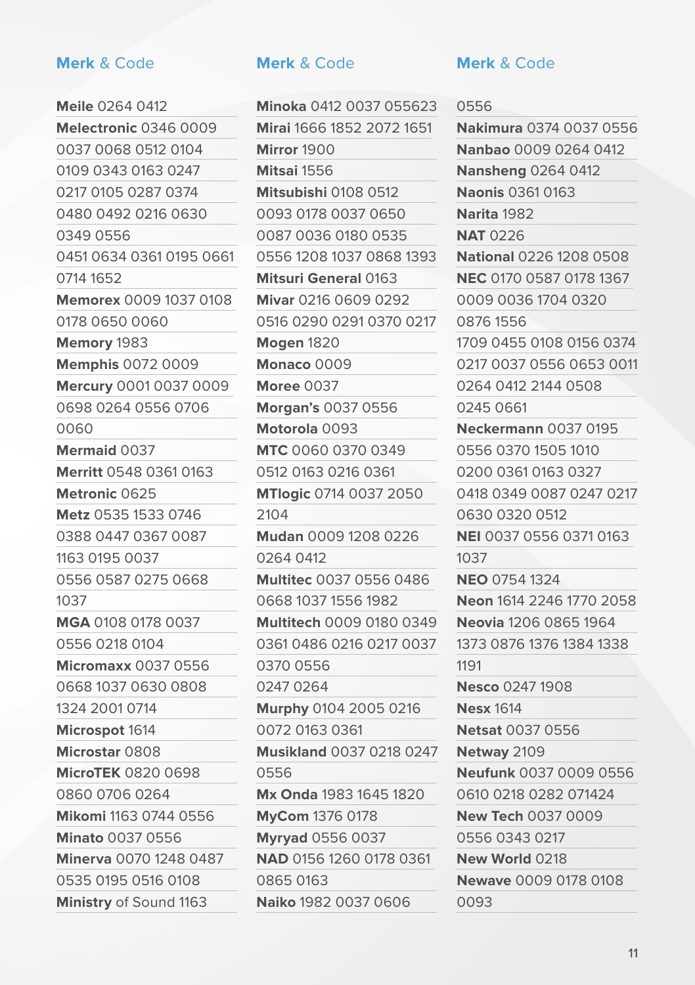# **Minato** 0037 0556 **Minerva** 0070 1248 0487

0535 0195 0516 0108 **Ministry** of Sound 1163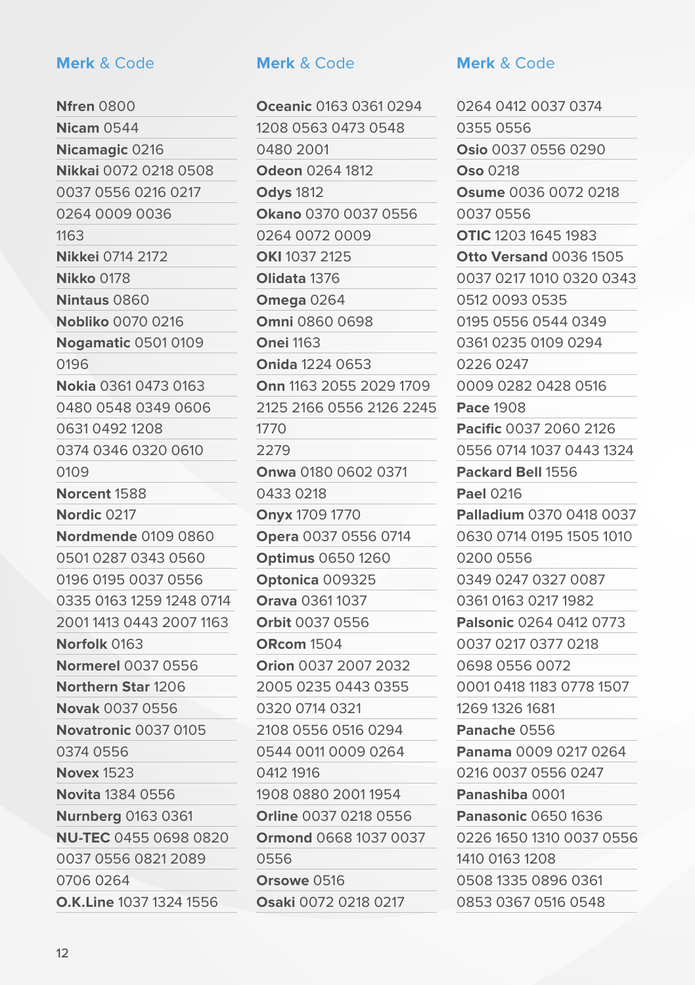**O.K.Line** 1037 1324 1556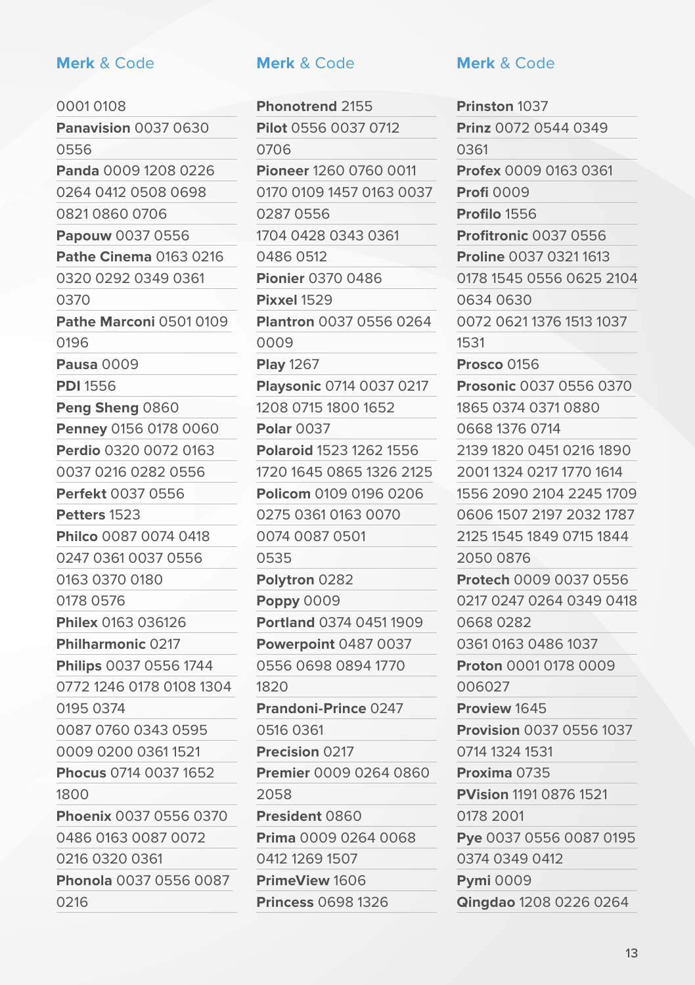## 0001 0108 **Panavision** 0037 0630 0556 **Panda** 0009 1208 0226 0264 0412 0508 0698 0821 0860 0706 **Papouw** 0037 0556 **Pathe Cinema** 0163 0216 0320 0292 0349 0361 0370 **Pathe Marconi** 0501 0109 0196 **Pausa** 0009 **PDI** 1556 **Peng Sheng** 0860 **Penney** 0156 0178 0060 **Perdio** 0320 0072 0163 0037 0216 0282 0556 **Perfekt** 0037 0556 **Petters** 1523 **Philco** 0087 0074 0418 0247 0361 0037 0556 0163 0370 0180 0178 0576 **Philex** 0163 036126 **Philharmonic** 0217 **Philips** 0037 0556 1744

0216

## **Merk** & Code **Merk** & Code **Merk** & Code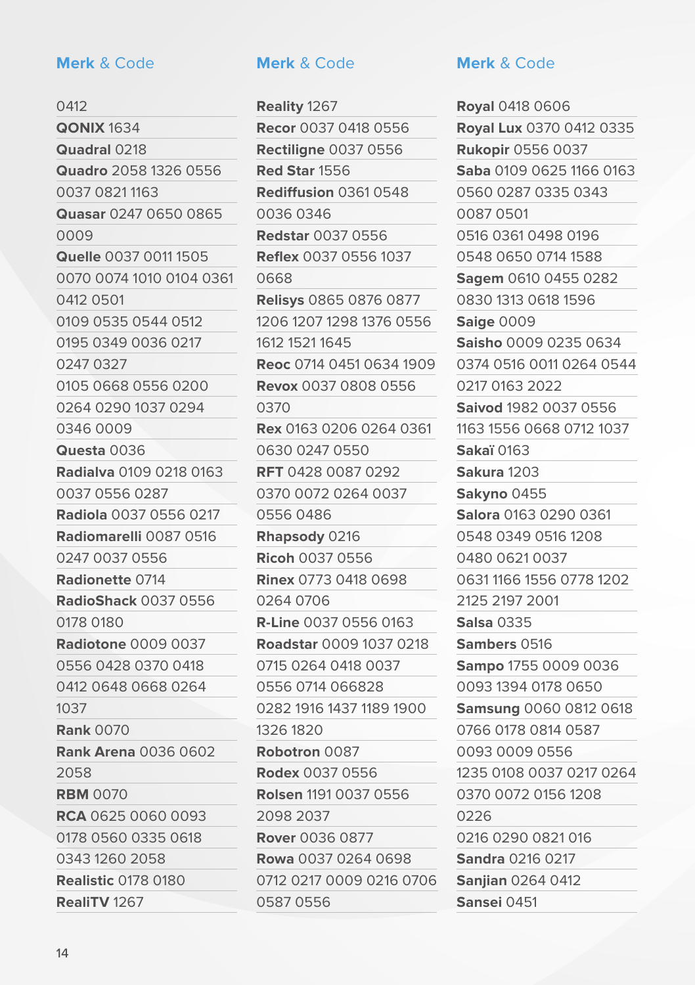## **Merk** & Code **Merk** & Code **Merk** & Code